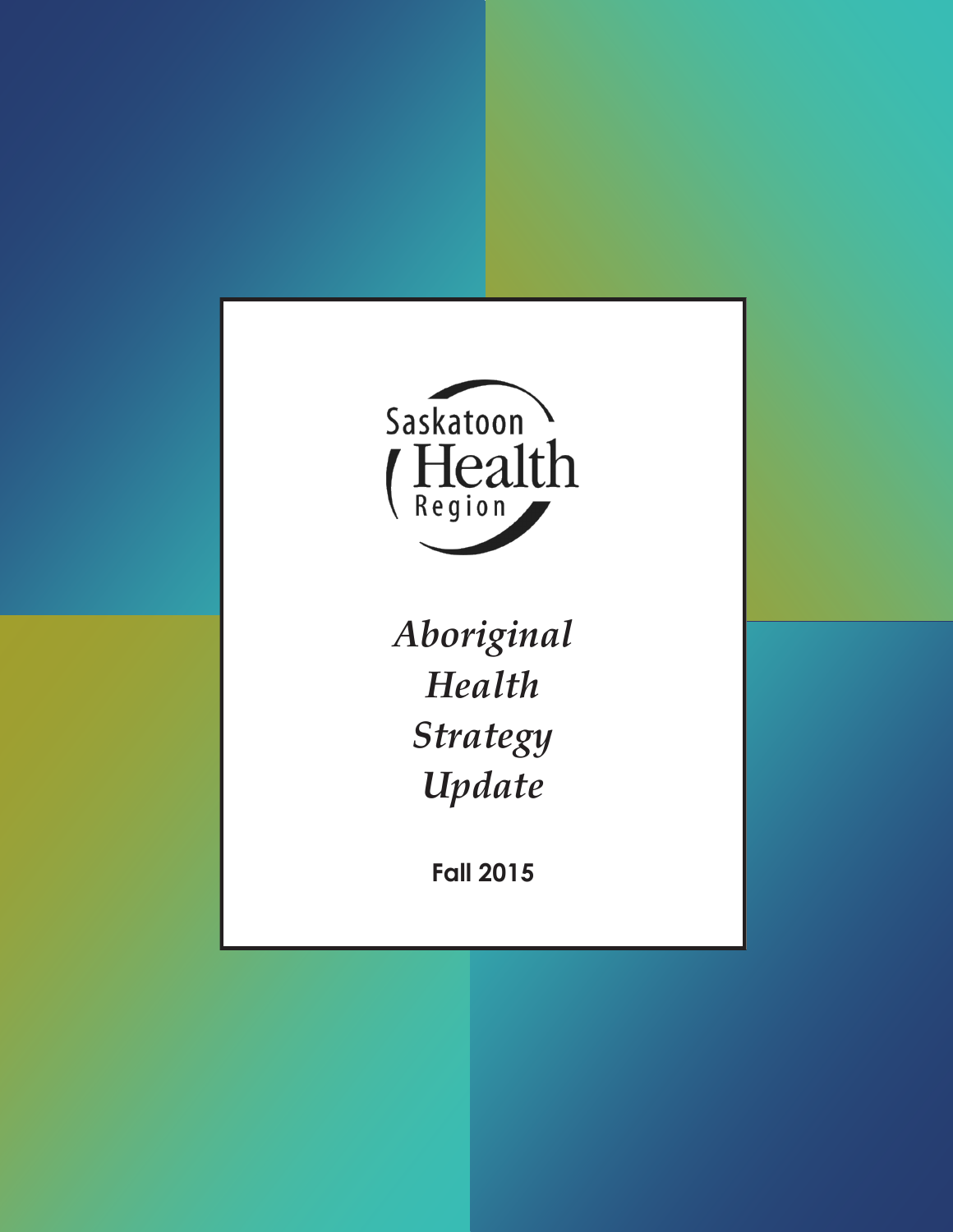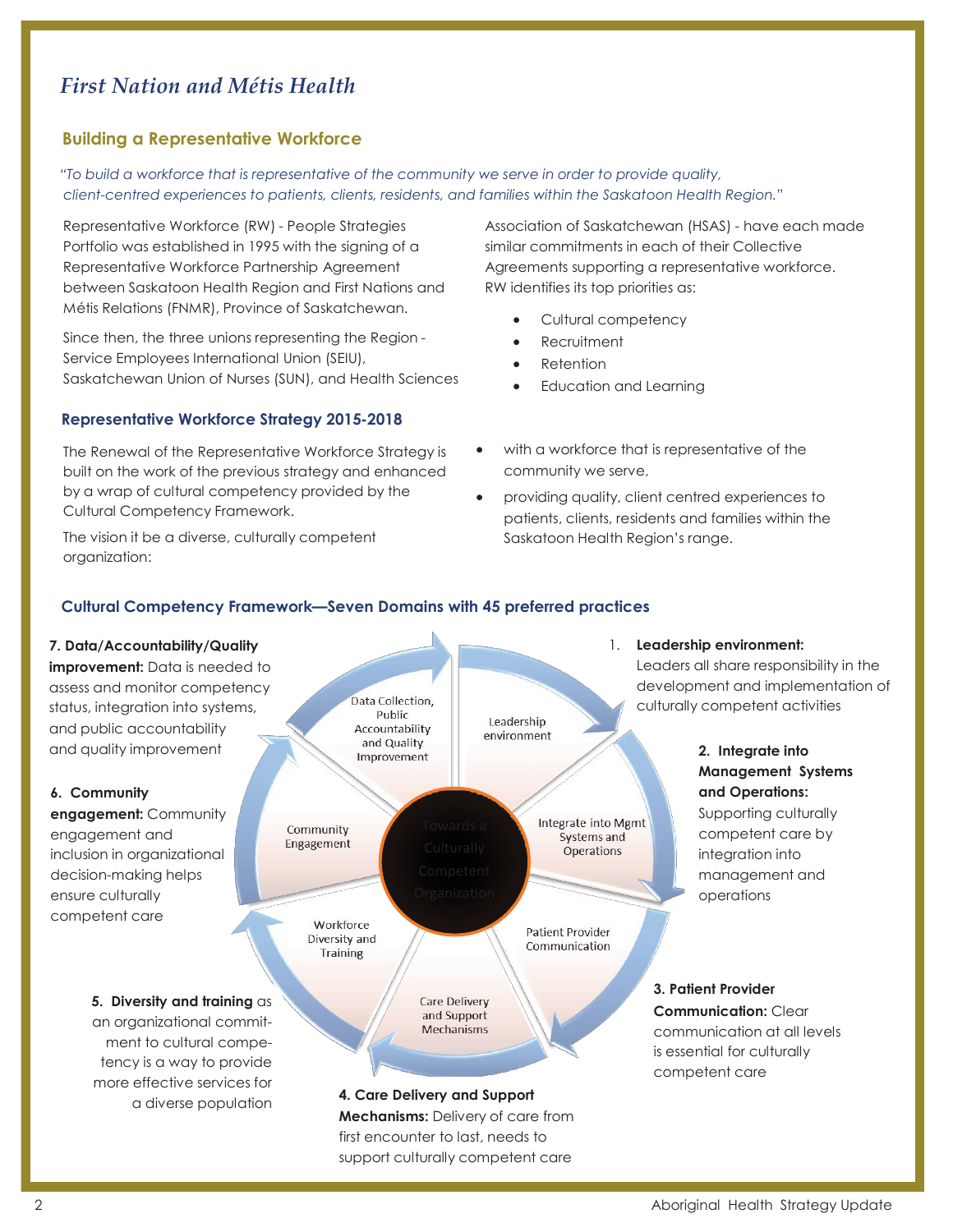# *First Nation and Métis Health*

## **Building a Representative Workforce**

*"To build a workforce that is representative of the community we serve in order to provide quality, client-centred experiences to patients, clients, residents, and families within the Saskatoon Health Region."*

Representative Workforce (RW) - People Strategies Portfolio was established in 1995 with the signing of a Representative Workforce Partnership Agreement between Saskatoon Health Region and First Nations and Métis Relations (FNMR), Province of Saskatchewan.

Since then, the three unions representing the Region - Service Employees International Union (SEIU), Saskatchewan Union of Nurses (SUN), and Health Sciences

#### **Representative Workforce Strategy 2015-2018**

The Renewal of the Representative Workforce Strategy is built on the work of the previous strategy and enhanced by a wrap of cultural competency provided by the Cultural Competency Framework.

The vision it be a diverse, culturally competent organization:

Association of Saskatchewan (HSAS) - have each made similar commitments in each of their Collective Agreements supporting a representative workforce. RW identifies its top priorities as:

- Cultural competency
- Recruitment
- Retention
- Education and Learning
- with a workforce that is representative of the community we serve,
- providing quality, client centred experiences to patients, clients, residents and families within the Saskatoon Health Region's range.

## **Cultural Competency Framework—Seven Domains with 45 preferred practices**

![](_page_1_Figure_16.jpeg)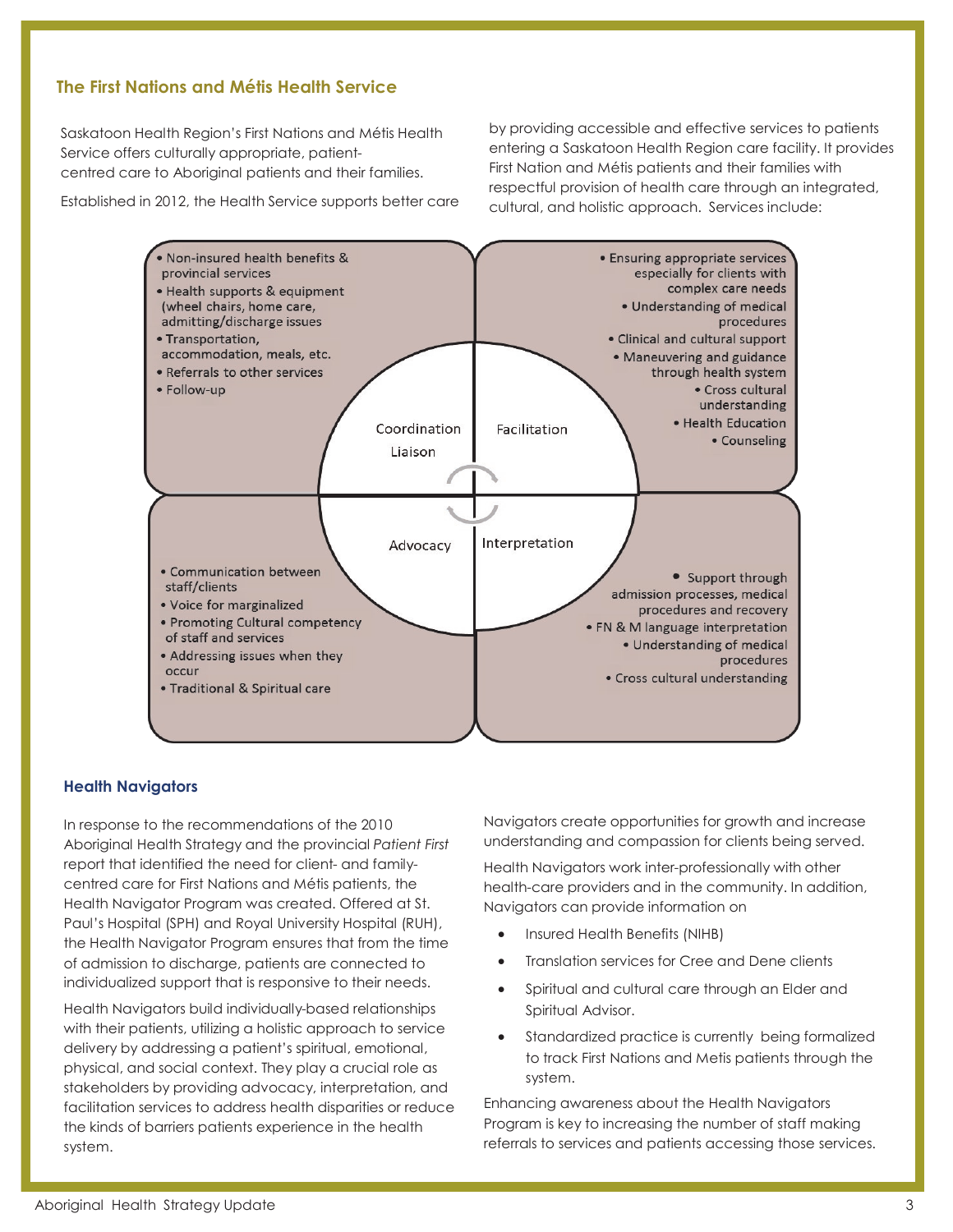# **The First Nations and Métis Health Service**

Saskatoon Health Region's First Nations and Métis Health Service offers culturally appropriate, patientcentred care to Aboriginal patients and their families.

Established in 2012, the Health Service supports better care

by providing accessible and effective services to patients entering a Saskatoon Health Region care facility. It provides First Nation and Métis patients and their families with respectful provision of health care through an integrated, cultural, and holistic approach. Services include:

![](_page_2_Figure_4.jpeg)

#### **Health Navigators**

In response to the recommendations of the 2010 Aboriginal Health Strategy and the provincial *Patient First* report that identified the need for client- and familycentred care for First Nations and Métis patients, the Health Navigator Program was created. Offered at St. Paul's Hospital (SPH) and Royal University Hospital (RUH), the Health Navigator Program ensures that from the time of admission to discharge, patients are connected to individualized support that is responsive to their needs.

Health Navigators build individually-based relationships with their patients, utilizing a holistic approach to service delivery by addressing a patient's spiritual, emotional, physical, and social context. They play a crucial role as stakeholders by providing advocacy, interpretation, and facilitation services to address health disparities or reduce the kinds of barriers patients experience in the health system.

Navigators create opportunities for growth and increase understanding and compassion for clients being served.

Health Navigators work inter-professionally with other health-care providers and in the community. In addition, Navigators can provide information on

- Insured Health Benefits (NIHB)
- Translation services for Cree and Dene clients
- Spiritual and cultural care through an Elder and Spiritual Advisor.
- Standardized practice is currently being formalized to track First Nations and Metis patients through the system.

Enhancing awareness about the Health Navigators Program is key to increasing the number of staff making referrals to services and patients accessing those services.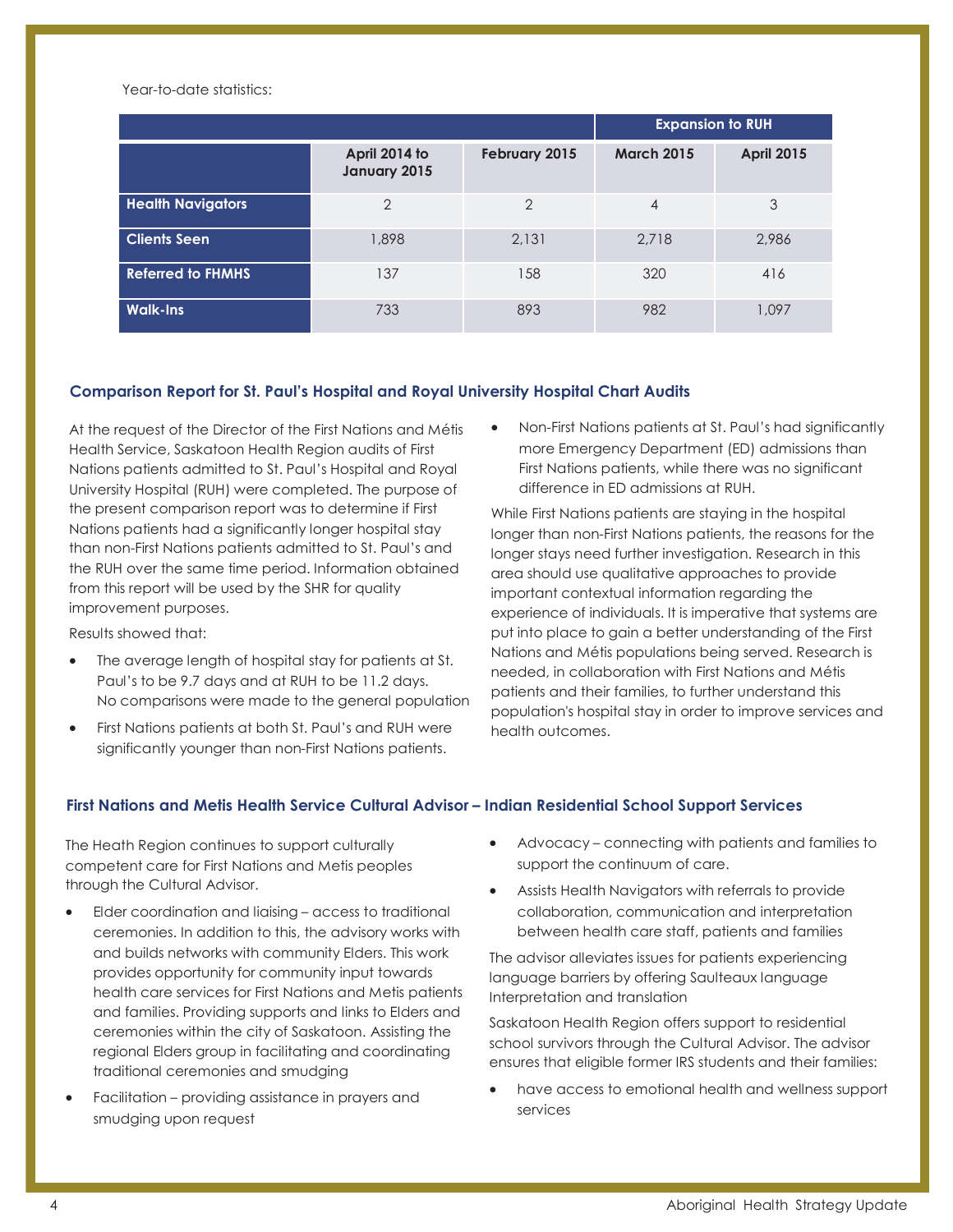Year-to-date statistics:

|                          |                               |               | <b>Expansion to RUH</b> |                   |
|--------------------------|-------------------------------|---------------|-------------------------|-------------------|
|                          | April 2014 to<br>January 2015 | February 2015 | <b>March 2015</b>       | <b>April 2015</b> |
| <b>Health Navigators</b> | $\overline{2}$                | $\mathcal{P}$ | 4                       | 3                 |
| <b>Clients Seen</b>      | 1,898                         | 2,131         | 2,718                   | 2.986             |
| <b>Referred to FHMHS</b> | 137                           | 158           | 320                     | 416               |
| <b>Walk-Ins</b>          | 733                           | 893           | 982                     | 1,097             |

#### **Comparison Report for St. Paul's Hospital and Royal University Hospital Chart Audits**

At the request of the Director of the First Nations and Métis Health Service, Saskatoon Health Region audits of First Nations patients admitted to St. Paul's Hospital and Royal University Hospital (RUH) were completed. The purpose of the present comparison report was to determine if First Nations patients had a significantly longer hospital stay than non-First Nations patients admitted to St. Paul's and the RUH over the same time period. Information obtained from this report will be used by the SHR for quality improvement purposes.

Results showed that:

- The average length of hospital stay for patients at St. Paul's to be 9.7 days and at RUH to be 11.2 days. No comparisons were made to the general population
- First Nations patients at both St. Paul's and RUH were significantly younger than non-First Nations patients.

 Non-First Nations patients at St. Paul's had significantly more Emergency Department (ED) admissions than First Nations patients, while there was no significant difference in ED admissions at RUH.

While First Nations patients are staying in the hospital longer than non-First Nations patients, the reasons for the longer stays need further investigation. Research in this area should use qualitative approaches to provide important contextual information regarding the experience of individuals. It is imperative that systems are put into place to gain a better understanding of the First Nations and Métis populations being served. Research is needed, in collaboration with First Nations and Métis patients and their families, to further understand this population's hospital stay in order to improve services and health outcomes.

#### **First Nations and Metis Health Service Cultural Advisor – Indian Residential School Support Services**

The Heath Region continues to support culturally competent care for First Nations and Metis peoples through the Cultural Advisor.

- Elder coordination and liaising access to traditional ceremonies. In addition to this, the advisory works with and builds networks with community Elders. This work provides opportunity for community input towards health care services for First Nations and Metis patients and families. Providing supports and links to Elders and ceremonies within the city of Saskatoon. Assisting the regional Elders group in facilitating and coordinating traditional ceremonies and smudging
- Facilitation providing assistance in prayers and smudging upon request
- Advocacy connecting with patients and families to support the continuum of care.
- Assists Health Navigators with referrals to provide collaboration, communication and interpretation between health care staff, patients and families

The advisor alleviates issues for patients experiencing language barriers by offering Saulteaux language Interpretation and translation

Saskatoon Health Region offers support to residential school survivors through the Cultural Advisor. The advisor ensures that eligible former IRS students and their families:

 have access to emotional health and wellness support services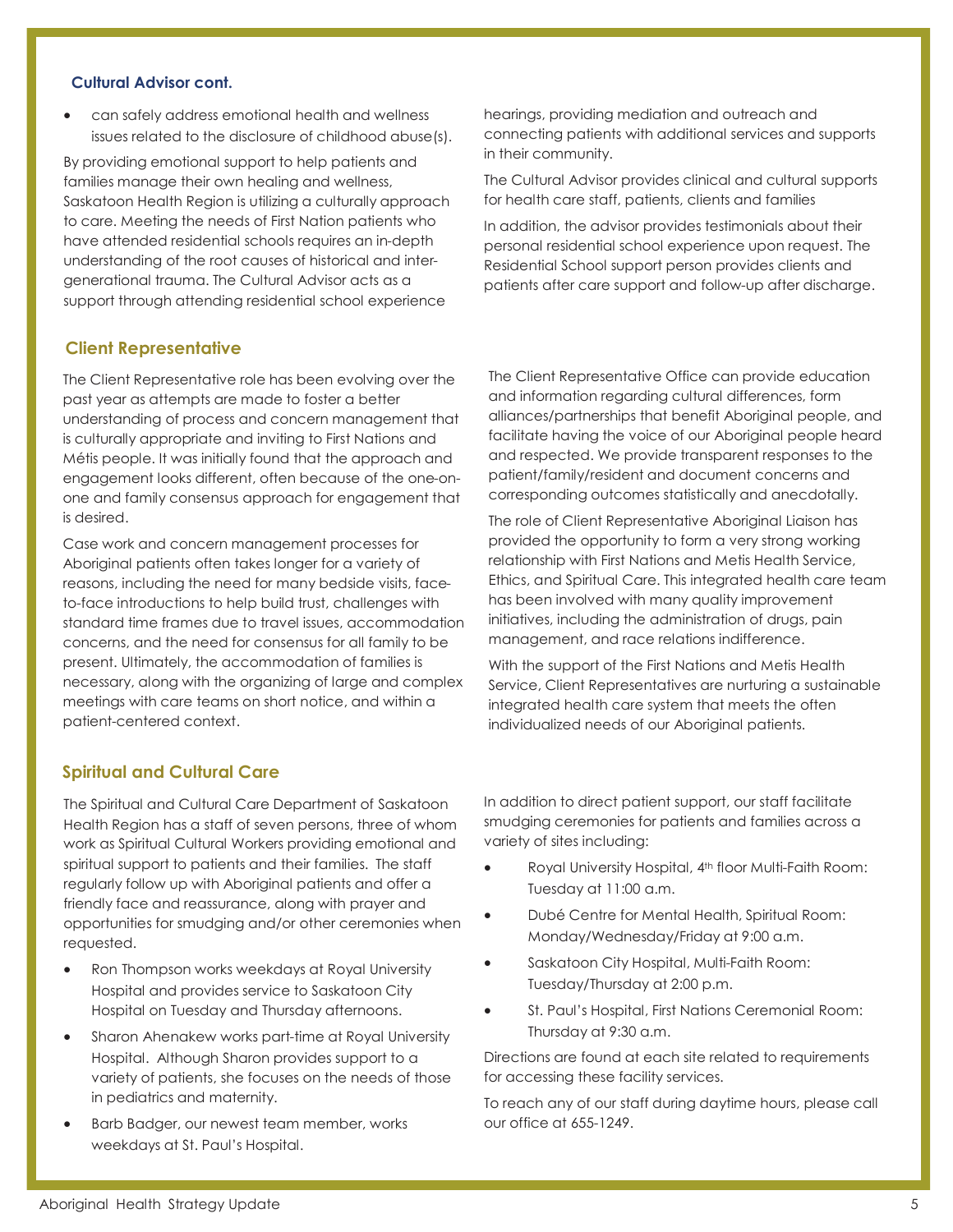#### **Cultural Advisor cont.**

 can safely address emotional health and wellness issues related to the disclosure of childhood abuse(s).

By providing emotional support to help patients and families manage their own healing and wellness, Saskatoon Health Region is utilizing a culturally approach to care. Meeting the needs of First Nation patients who have attended residential schools requires an in-depth understanding of the root causes of historical and intergenerational trauma. The Cultural Advisor acts as a support through attending residential school experience

## **Client Representative**

The Client Representative role has been evolving over the past year as attempts are made to foster a better understanding of process and concern management that is culturally appropriate and inviting to First Nations and Métis people. It was initially found that the approach and engagement looks different, often because of the one-onone and family consensus approach for engagement that is desired.

Case work and concern management processes for Aboriginal patients often takes longer for a variety of reasons, including the need for many bedside visits, faceto-face introductions to help build trust, challenges with standard time frames due to travel issues, accommodation concerns, and the need for consensus for all family to be present. Ultimately, the accommodation of families is necessary, along with the organizing of large and complex meetings with care teams on short notice, and within a patient-centered context.

hearings, providing mediation and outreach and connecting patients with additional services and supports in their community.

The Cultural Advisor provides clinical and cultural supports for health care staff, patients, clients and families

In addition, the advisor provides testimonials about their personal residential school experience upon request. The Residential School support person provides clients and patients after care support and follow-up after discharge.

The Client Representative Office can provide education and information regarding cultural differences, form alliances/partnerships that benefit Aboriginal people, and facilitate having the voice of our Aboriginal people heard and respected. We provide transparent responses to the patient/family/resident and document concerns and corresponding outcomes statistically and anecdotally.

The role of Client Representative Aboriginal Liaison has provided the opportunity to form a very strong working relationship with First Nations and Metis Health Service, Ethics, and Spiritual Care. This integrated health care team has been involved with many quality improvement initiatives, including the administration of drugs, pain management, and race relations indifference.

With the support of the First Nations and Metis Health Service, Client Representatives are nurturing a sustainable integrated health care system that meets the often individualized needs of our Aboriginal patients.

## **Spiritual and Cultural Care**

The Spiritual and Cultural Care Department of Saskatoon Health Region has a staff of seven persons, three of whom work as Spiritual Cultural Workers providing emotional and spiritual support to patients and their families. The staff regularly follow up with Aboriginal patients and offer a friendly face and reassurance, along with prayer and opportunities for smudging and/or other ceremonies when requested.

- Ron Thompson works weekdays at Royal University Hospital and provides service to Saskatoon City Hospital on Tuesday and Thursday afternoons.
- Sharon Ahenakew works part-time at Royal University Hospital. Although Sharon provides support to a variety of patients, she focuses on the needs of those in pediatrics and maternity.
- Barb Badger, our newest team member, works weekdays at St. Paul's Hospital.

In addition to direct patient support, our staff facilitate smudging ceremonies for patients and families across a variety of sites including:

- Royal University Hospital, 4th floor Multi-Faith Room: Tuesday at 11:00 a.m.
- Dubé Centre for Mental Health, Spiritual Room: Monday/Wednesday/Friday at 9:00 a.m.
- Saskatoon City Hospital, Multi-Faith Room: Tuesday/Thursday at 2:00 p.m.
- St. Paul's Hospital, First Nations Ceremonial Room: Thursday at 9:30 a.m.

Directions are found at each site related to requirements for accessing these facility services.

To reach any of our staff during daytime hours, please call our office at 655-1249.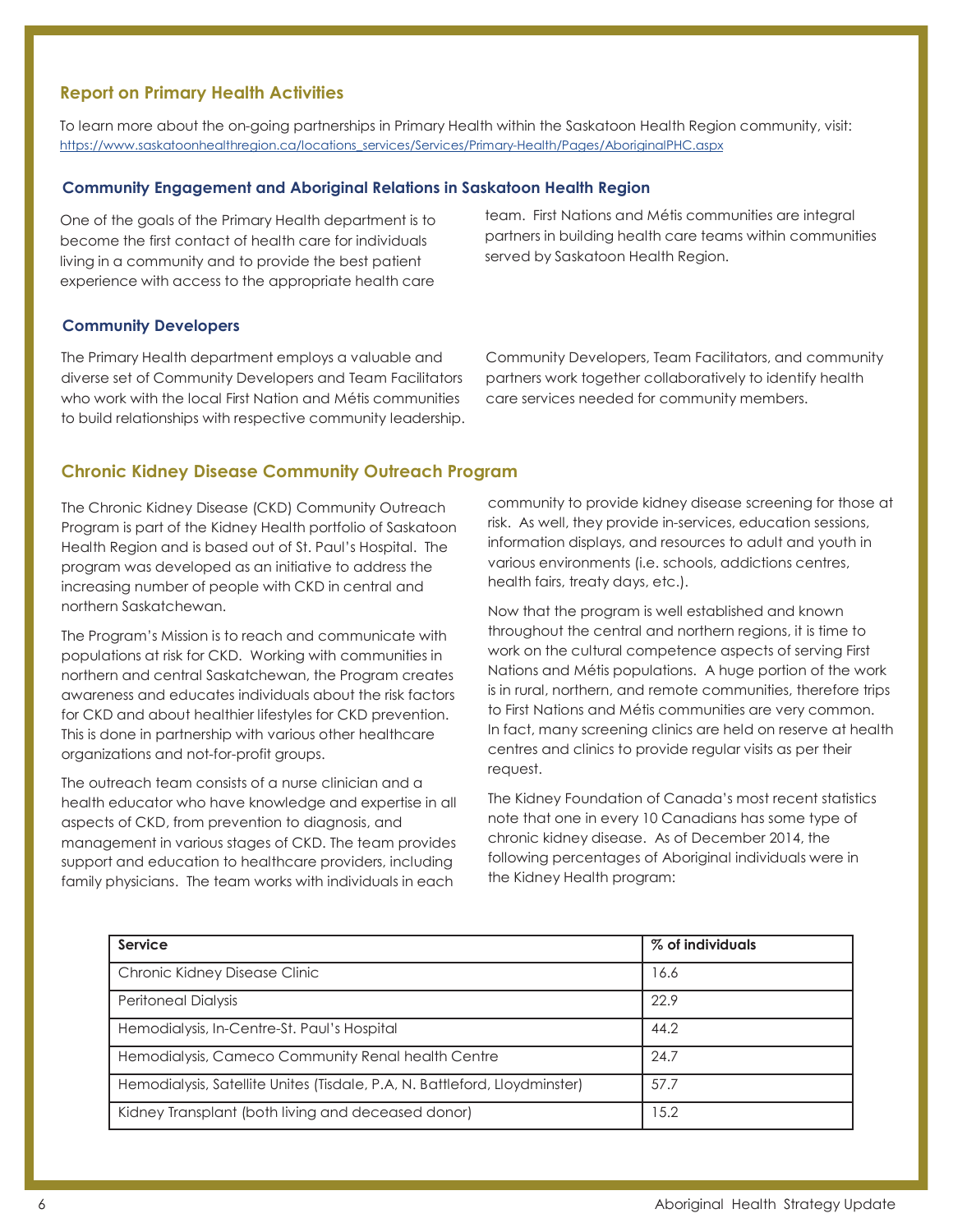# **Report on Primary Health Activities**

To learn more about the on-going partnerships in Primary Health within the Saskatoon Health Region community, visit: [https://www.saskatoonhealthregion.ca/locations\\_services/Services/Primary-Health/Pages/AboriginalPHC.aspx](https://www.saskatoonhealthregion.ca/locations_services/Services/Primary-Health/Pages/AboriginalPHC.aspx)

## **Community Engagement and Aboriginal Relations in Saskatoon Health Region**

One of the goals of the Primary Health department is to become the first contact of health care for individuals living in a community and to provide the best patient experience with access to the appropriate health care

team. First Nations and Métis communities are integral partners in building health care teams within communities served by Saskatoon Health Region.

#### **Community Developers**

The Primary Health department employs a valuable and diverse set of Community Developers and Team Facilitators who work with the local First Nation and Métis communities to build relationships with respective community leadership. Community Developers, Team Facilitators, and community partners work together collaboratively to identify health care services needed for community members.

#### **Chronic Kidney Disease Community Outreach Program**

The Chronic Kidney Disease (CKD) Community Outreach Program is part of the Kidney Health portfolio of Saskatoon Health Region and is based out of St. Paul's Hospital. The program was developed as an initiative to address the increasing number of people with CKD in central and northern Saskatchewan.

The Program's Mission is to reach and communicate with populations at risk for CKD. Working with communities in northern and central Saskatchewan, the Program creates awareness and educates individuals about the risk factors for CKD and about healthier lifestyles for CKD prevention. This is done in partnership with various other healthcare organizations and not-for-profit groups.

The outreach team consists of a nurse clinician and a health educator who have knowledge and expertise in all aspects of CKD, from prevention to diagnosis, and management in various stages of CKD. The team provides support and education to healthcare providers, including family physicians. The team works with individuals in each

community to provide kidney disease screening for those at risk. As well, they provide in-services, education sessions, information displays, and resources to adult and youth in various environments (i.e. schools, addictions centres, health fairs, treaty days, etc.).

Now that the program is well established and known throughout the central and northern regions, it is time to work on the cultural competence aspects of serving First Nations and Métis populations. A huge portion of the work is in rural, northern, and remote communities, therefore trips to First Nations and Métis communities are very common. In fact, many screening clinics are held on reserve at health centres and clinics to provide regular visits as per their request.

The Kidney Foundation of Canada's most recent statistics note that one in every 10 Canadians has some type of chronic kidney disease. As of December 2014, the following percentages of Aboriginal individuals were in the Kidney Health program:

| Service                                                                    | % of individuals |  |
|----------------------------------------------------------------------------|------------------|--|
| Chronic Kidney Disease Clinic                                              | 16.6             |  |
| <b>Peritoneal Dialysis</b>                                                 | 22.9             |  |
| Hemodialysis, In-Centre-St. Paul's Hospital                                | 44.2             |  |
| Hemodialysis, Cameco Community Renal health Centre                         | 24.7             |  |
| Hemodialysis, Satellite Unites (Tisdale, P.A, N. Battleford, Lloydminster) | 57.7             |  |
| Kidney Transplant (both living and deceased donor)                         | 15.2             |  |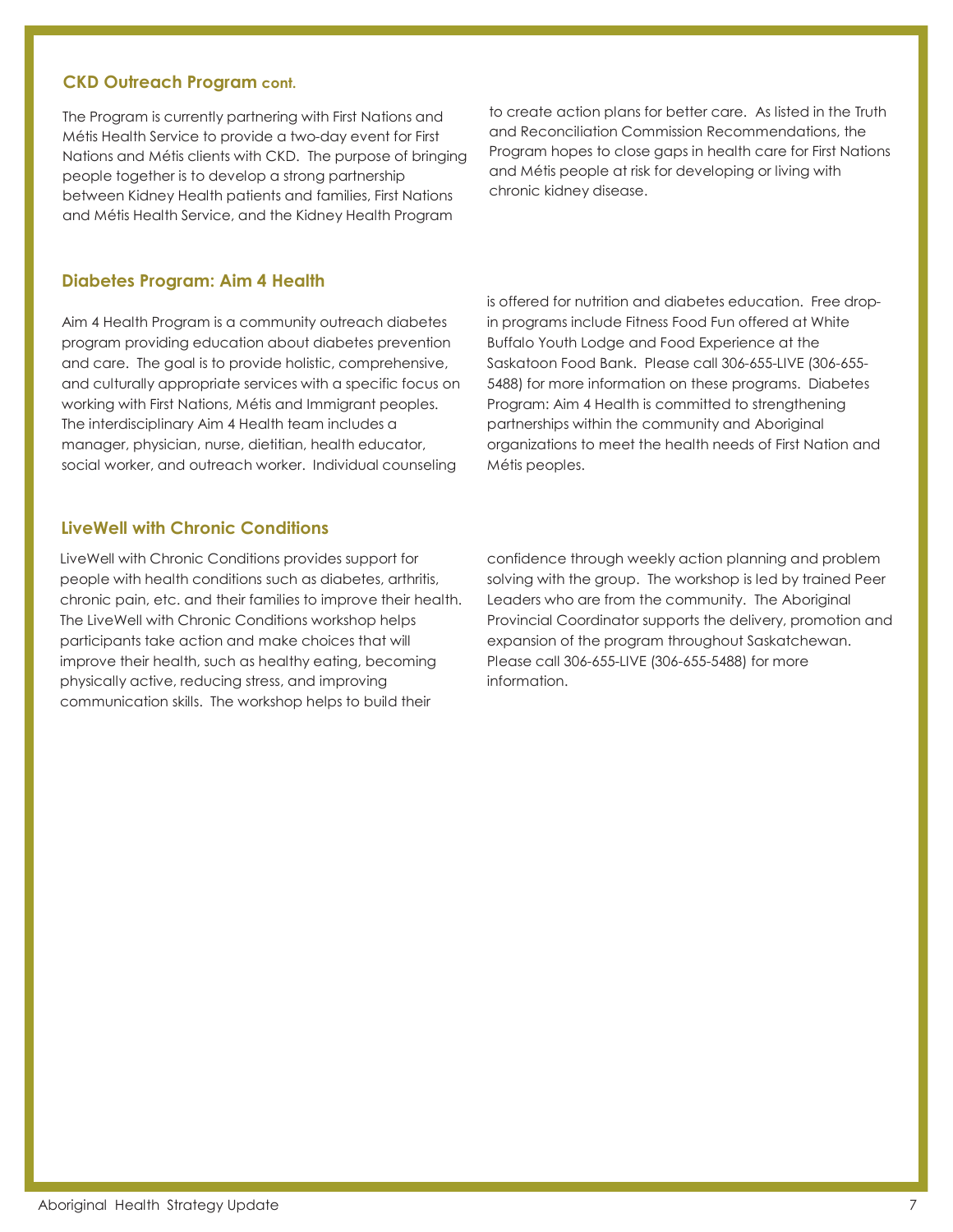#### **CKD Outreach Program cont.**

The Program is currently partnering with First Nations and Métis Health Service to provide a two-day event for First Nations and Métis clients with CKD. The purpose of bringing people together is to develop a strong partnership between Kidney Health patients and families, First Nations and Métis Health Service, and the Kidney Health Program

to create action plans for better care. As listed in the Truth and Reconciliation Commission Recommendations, the Program hopes to close gaps in health care for First Nations and Métis people at risk for developing or living with chronic kidney disease.

## **Diabetes Program: Aim 4 Health**

Aim 4 Health Program is a community outreach diabetes program providing education about diabetes prevention and care. The goal is to provide holistic, comprehensive, and culturally appropriate services with a specific focus on working with First Nations, Métis and Immigrant peoples. The interdisciplinary Aim 4 Health team includes a manager, physician, nurse, dietitian, health educator, social worker, and outreach worker. Individual counseling

# **LiveWell with Chronic Conditions**

LiveWell with Chronic Conditions provides support for people with health conditions such as diabetes, arthritis, chronic pain, etc. and their families to improve their health. The LiveWell with Chronic Conditions workshop helps participants take action and make choices that will improve their health, such as healthy eating, becoming physically active, reducing stress, and improving communication skills. The workshop helps to build their

is offered for nutrition and diabetes education. Free dropin programs include Fitness Food Fun offered at White Buffalo Youth Lodge and Food Experience at the Saskatoon Food Bank. Please call 306-655-LIVE (306-655- 5488) for more information on these programs. Diabetes Program: Aim 4 Health is committed to strengthening partnerships within the community and Aboriginal organizations to meet the health needs of First Nation and Métis peoples.

confidence through weekly action planning and problem solving with the group. The workshop is led by trained Peer Leaders who are from the community. The Aboriginal Provincial Coordinator supports the delivery, promotion and expansion of the program throughout Saskatchewan. Please call 306-655-LIVE (306-655-5488) for more information.